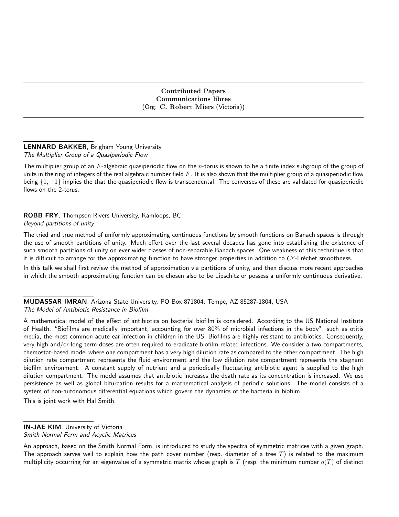Contributed Papers Communications libres (Org: C. Robert Miers (Victoria))

## LENNARD BAKKER, Brigham Young University The Multiplier Group of a Quasiperiodic Flow

The multiplier group of an  $F$ -algebraic quasiperiodic flow on the  $n$ -torus is shown to be a finite index subgroup of the group of units in the ring of integers of the real algebraic number field  $F$ . It is also shown that the multiplier group of a quasiperiodic flow being  $\{1, -1\}$  implies the that the quasiperiodic flow is transcendental. The converses of these are validated for quasiperiodic flows on the 2-torus.

ROBB FRY, Thompson Rivers University, Kamloops, BC Beyond partitions of unity

The tried and true method of uniformly approximating continuous functions by smooth functions on Banach spaces is through the use of smooth partitions of unity. Much effort over the last several decades has gone into establishing the existence of such smooth partitions of unity on ever wider classes of non-separable Banach spaces. One weakness of this technique is that it is difficult to arrange for the approximating function to have stronger properties in addition to  $C^p$ -Fréchet smoothness.

In this talk we shall first review the method of approximation via partitions of unity, and then discuss more recent approaches in which the smooth approximating function can be chosen also to be Lipschitz or possess a uniformly continuous derivative.

MUDASSAR IMRAN, Arizona State University, PO Box 871804, Tempe, AZ 85287-1804, USA The Model of Antibiotic Resistance in Biofilm

A mathematical model of the effect of antibiotics on bacterial biofilm is considered. According to the US National Institute of Health, "Biofilms are medically important, accounting for over 80% of microbial infections in the body", such as otitis media, the most common acute ear infection in children in the US. Biofilms are highly resistant to antibiotics. Consequently, very high and/or long-term doses are often required to eradicate biofilm-related infections. We consider a two-compartments, chemostat-based model where one compartment has a very high dilution rate as compared to the other compartment. The high dilution rate compartment represents the fluid environment and the low dilution rate compartment represents the stagnant biofilm environment. A constant supply of nutrient and a periodically fluctuating antibiotic agent is supplied to the high dilution compartment. The model assumes that antibiotic increases the death rate as its concentration is increased. We use persistence as well as global bifurcation results for a mathematical analysis of periodic solutions. The model consists of a system of non-autonomous differential equations which govern the dynamics of the bacteria in biofilm. This is joint work with Hal Smith.

## IN-JAE KIM, University of Victoria Smith Normal Form and Acyclic Matrices

An approach, based on the Smith Normal Form, is introduced to study the spectra of symmetric matrices with a given graph. The approach serves well to explain how the path cover number (resp. diameter of a tree  $T$ ) is related to the maximum multiplicity occurring for an eigenvalue of a symmetric matrix whose graph is T (resp. the minimum number  $q(T)$  of distinct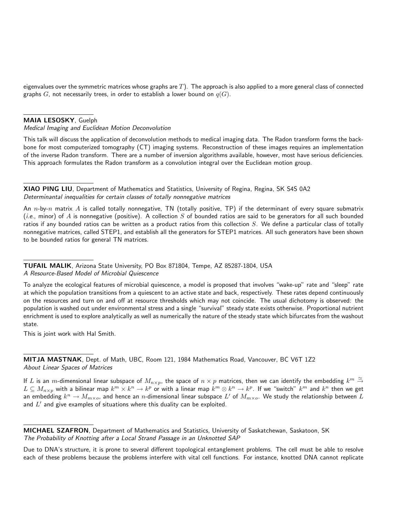eigenvalues over the symmetric matrices whose graphs are  $T$ ). The approach is also applied to a more general class of connected graphs G, not necessarily trees, in order to establish a lower bound on  $q(G)$ .

## MAIA LESOSKY, Guelph

Medical Imaging and Euclidean Motion Deconvolution

This talk will discuss the application of deconvolution methods to medical imaging data. The Radon transform forms the backbone for most computerized tomography (CT) imaging systems. Reconstruction of these images requires an implementation of the inverse Radon transform. There are a number of inversion algorithms available, however, most have serious deficiencies. This approach formulates the Radon transform as a convolution integral over the Euclidean motion group.

XIAO PING LIU, Department of Mathematics and Statistics, University of Regina, Regina, SK S4S 0A2 Determinantal inequalities for certain classes of totally nonnegative matrices

An n-by-n matrix A is called totally nonnegative, TN (totally positive, TP) if the determinant of every square submatrix (*i.e.*, minor) of A is nonnegative (positive). A collection S of bounded ratios are said to be generators for all such bounded ratios if any bounded ratios can be written as a product ratios from this collection  $S$ . We define a particular class of totally nonnegative matrices, called STEP1, and establish all the generators for STEP1 matrices. All such generators have been shown to be bounded ratios for general TN matrices.

TUFAIL MALIK, Arizona State University, PO Box 871804, Tempe, AZ 85287-1804, USA A Resource-Based Model of Microbial Quiescence

To analyze the ecological features of microbial quiescence, a model is proposed that involves "wake-up" rate and "sleep" rate at which the population transitions from a quiescent to an active state and back, respectively. These rates depend continuously on the resources and turn on and off at resource thresholds which may not coincide. The usual dichotomy is observed: the population is washed out under environmental stress and a single "survival" steady state exists otherwise. Proportional nutrient enrichment is used to explore analytically as well as numerically the nature of the steady state which bifurcates from the washout state.

This is joint work with Hal Smith.

MITJA MASTNAK, Dept. of Math, UBC, Room 121, 1984 Mathematics Road, Vancouver, BC V6T 1Z2 About Linear Spaces of Matrices

If  $L$  is an  $m$ -dimensional linear subspace of  $M_{n\times p}$ , the space of  $n\times p$  matrices, then we can identify the embedding  $k^m\stackrel{\simeq}{\to}$  $L\subseteq M_{n\times p}$  with a bilinear map  $k^m\times k^n\to k^p$  or with a linear map  $k^m\otimes k^n\to k^p.$  If we "switch"  $k^m$  and  $k^n$  then we get an embedding  $k^n\to M_{m\times o}$ , and hence an  $n$ -dimensional linear subspace  $L'$  of  $M_{m\times o}$ . We study the relationship between  $L$ and  $L'$  and give examples of situations where this duality can be exploited.

MICHAEL SZAFRON, Department of Mathematics and Statistics, University of Saskatchewan, Saskatoon, SK The Probability of Knotting after a Local Strand Passage in an Unknotted SAP

Due to DNA's structure, it is prone to several different topological entanglement problems. The cell must be able to resolve each of these problems because the problems interfere with vital cell functions. For instance, knotted DNA cannot replicate